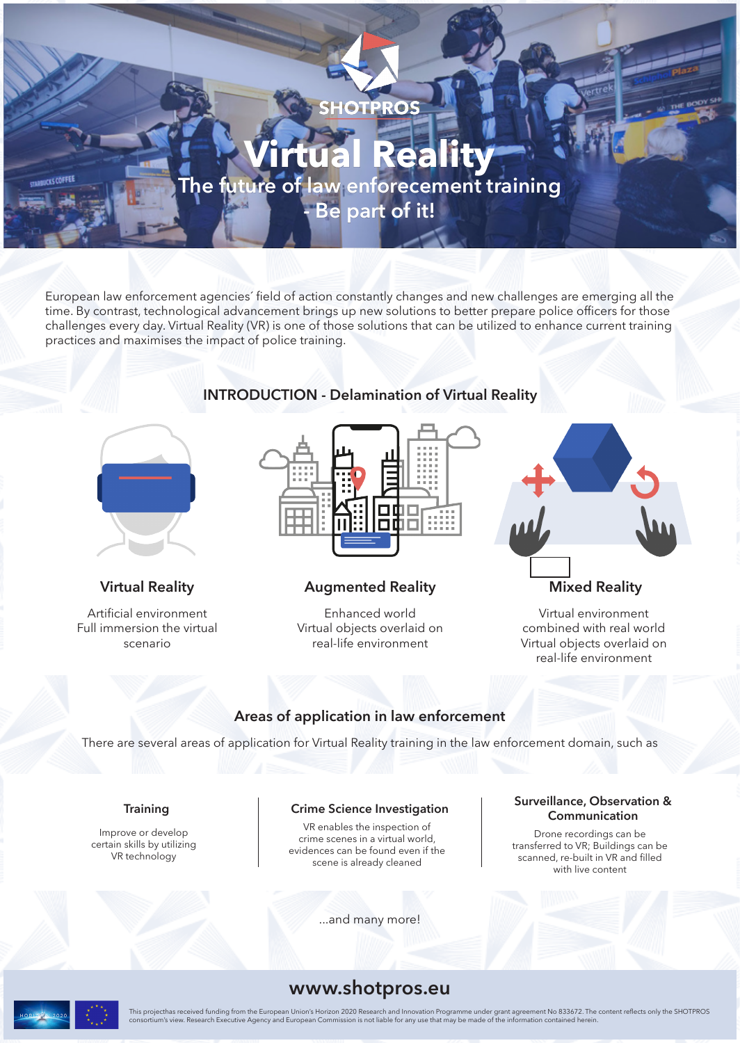

European law enforcement agencies´ field of action constantly changes and new challenges are emerging all the time. By contrast, technological advancement brings up new solutions to better prepare police officers for those challenges every day. Virtual Reality (VR) is one of those solutions that can be utilized to enhance current training practices and maximises the impact of police training.



Artificial environment Full immersion the virtual scenario

### **INTRODUCTION - Delamination of Virtual Reality**



### **Virtual Reality Augmented Reality Mixed Reality**

Enhanced world Virtual objects overlaid on real-life environment



Virtual environment combined with real world Virtual objects overlaid on real-life environment

### **Areas of application in law enforcement**

There are several areas of application for Virtual Reality training in the law enforcement domain, such as

### **Training**

Improve or develop certain skills by utilizing VR technology

### **Crime Science Investigation**

VR enables the inspection of crime scenes in a virtual world, evidences can be found even if the scene is already cleaned

...and many more!

### **Surveillance, Observation & Communication**

Drone recordings can be transferred to VR; Buildings can be scanned, re-built in VR and filled with live content

## **www.shotpros.eu**

This projecthas received funding from the European Union's Horizon 2020 Research and Innovation Programme under grant agreement No 833672. The content reflects only the SHOTPROS<br>consortium's view. Research Executive Agency